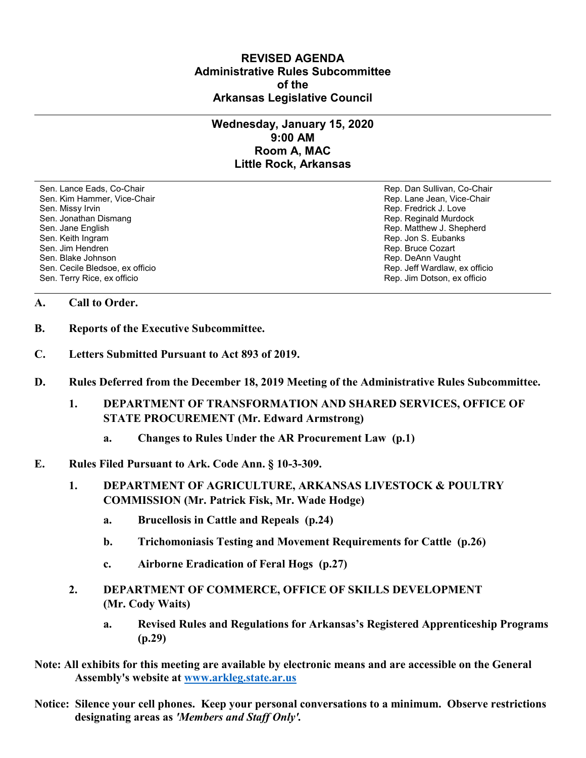## **REVISED AGENDA Administrative Rules Subcommittee of the Arkansas Legislative Council**

## **Wednesday, January 15, 2020 9:00 AM Room A, MAC Little Rock, Arkansas**

Sen. Lance Eads, Co-Chair Rep. Dan Sullivan, Co-Chair Sen. Kim Hammer, Vice-Chair **Rep. Lane Jean, Vice-Chair** Rep. Lane Jean, Vice-Chair Sen. Missy Irvin November 2012 19:00 19:00 19:00 19:00 19:00 19:00 19:00 19:00 19:00 19:00 19:00 19:00 19:00 1 Sen. Jonathan Dismang Rep. Reginald Murdock Sen. Jane English Rep. Matthew J. Shepherd Rep. Matthew J. Shepherd Sen. Keith Ingram Rep. Jon S. Eubanks (Sen. Keith Ingram Rep. Jon S. Eubanks (Sen. Jon S. Eubanks (Sen. Jon S. Eubanks (Sen. Jon S. Eubanks (Sen. Jon S. Eubanks (Sen. Jon S. Eubanks (Sen. Jon S. Eubanks (Sen. Jon S. Eubank Sen. Blake Johnson (Sen. Blake Johnson)<br>Sen. Cecile Bledsoe, ex officio (Sen. Cecile Bledsoe, ex officio (Sen. Cecile Bledsoe, ex officio Sen. Cecile Bledsoe, ex officio Sen. Terry Rice, ex officio Rep. Jim Dotson, ex officio

Rep. Bruce Cozart

## **A. Call to Order.**

- **B. Reports of the Executive Subcommittee.**
- **C. Letters Submitted Pursuant to Act 893 of 2019.**
- **D. Rules Deferred from the December 18, 2019 Meeting of the Administrative Rules Subcommittee.**
	- **1. DEPARTMENT OF TRANSFORMATION AND SHARED SERVICES, OFFICE OF STATE PROCUREMENT (Mr. Edward Armstrong)**
		- **a. Changes to Rules Under the AR Procurement Law (p.1)**
- **E. Rules Filed Pursuant to Ark. Code Ann. § 10-3-309.**
	- **1. DEPARTMENT OF AGRICULTURE, ARKANSAS LIVESTOCK & POULTRY COMMISSION (Mr. Patrick Fisk, Mr. Wade Hodge)**
		- **a. Brucellosis in Cattle and Repeals (p.24)**
		- **b. Trichomoniasis Testing and Movement Requirements for Cattle (p.26)**
		- **c. Airborne Eradication of Feral Hogs (p.27)**
	- **2. DEPARTMENT OF COMMERCE, OFFICE OF SKILLS DEVELOPMENT (Mr. Cody Waits)**
		- **a. Revised Rules and Regulations for Arkansas's Registered Apprenticeship Programs (p.29)**
- **Note: All exhibits for this meeting are available by electronic means and are accessible on the General Assembly's website at [www.arkleg.state.ar.us](http://www.arkleg.state.ar.us)**
- **Notice: Silence your cell phones. Keep your personal conversations to a minimum. Observe restrictions designating areas as** *'Members and Staff Only'.*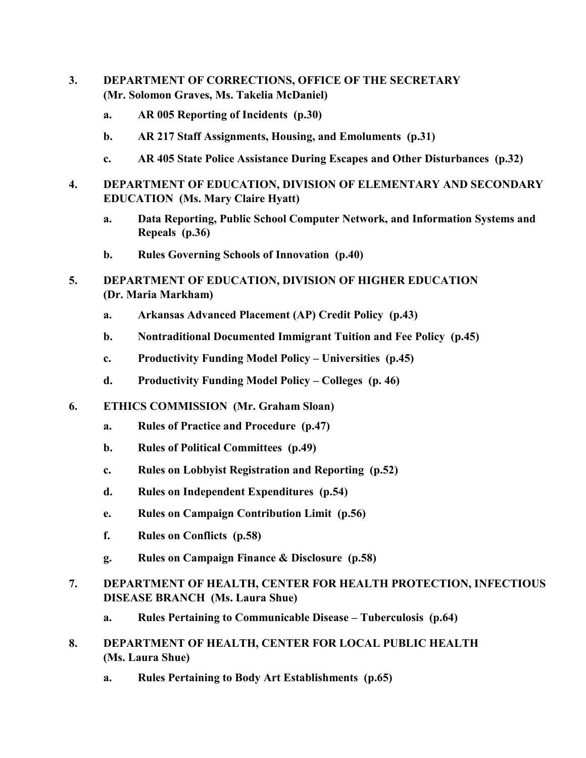- **3. DEPARTMENT OF CORRECTIONS, OFFICE OF THE SECRETARY (Mr. Solomon Graves, Ms. Takelia McDaniel)**
	- **a. AR 005 Reporting of Incidents (p.30)**
	- **b. AR 217 Staff Assignments, Housing, and Emoluments (p.31)**
	- **c. AR 405 State Police Assistance During Escapes and Other Disturbances (p.32)**
- **4. DEPARTMENT OF EDUCATION, DIVISION OF ELEMENTARY AND SECONDARY EDUCATION (Ms. Mary Claire Hyatt)**
	- **a. Data Reporting, Public School Computer Network, and Information Systems and Repeals (p.36)**
	- **b. Rules Governing Schools of Innovation (p.40)**
- **5. DEPARTMENT OF EDUCATION, DIVISION OF HIGHER EDUCATION (Dr. Maria Markham)**
	- **a. Arkansas Advanced Placement (AP) Credit Policy (p.43)**
	- **b. Nontraditional Documented Immigrant Tuition and Fee Policy (p.45)**
	- **c. Productivity Funding Model Policy – Universities (p.45)**
	- **d. Productivity Funding Model Policy – Colleges (p. 46)**
- **6. ETHICS COMMISSION (Mr. Graham Sloan)**
	- **a. Rules of Practice and Procedure (p.47)**
	- **b. Rules of Political Committees (p.49)**
	- **c. Rules on Lobbyist Registration and Reporting (p.52)**
	- **d. Rules on Independent Expenditures (p.54)**
	- **e. Rules on Campaign Contribution Limit (p.56)**
	- **f. Rules on Conflicts (p.58)**
	- **g. Rules on Campaign Finance & Disclosure (p.58)**
- **7. DEPARTMENT OF HEALTH, CENTER FOR HEALTH PROTECTION, INFECTIOUS DISEASE BRANCH (Ms. Laura Shue)**
	- **a. Rules Pertaining to Communicable Disease – Tuberculosis (p.64)**
- **8. DEPARTMENT OF HEALTH, CENTER FOR LOCAL PUBLIC HEALTH (Ms. Laura Shue)**
	- **a. Rules Pertaining to Body Art Establishments (p.65)**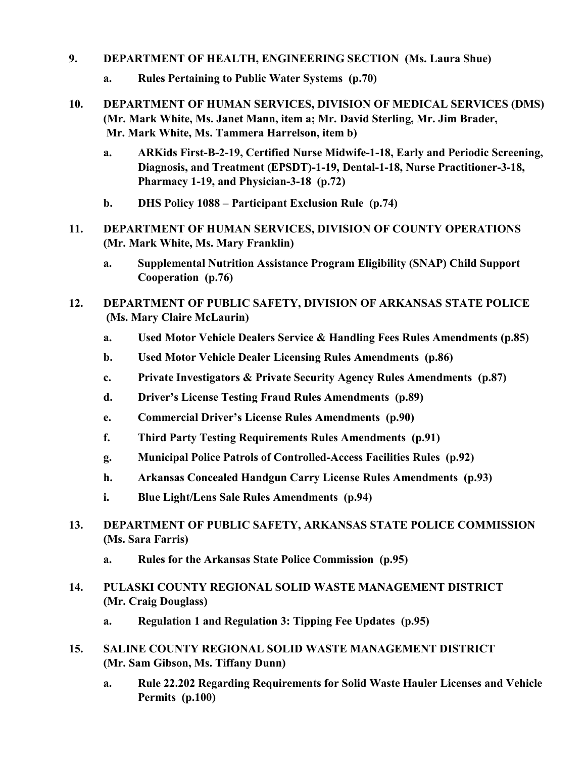## **9. DEPARTMENT OF HEALTH, ENGINEERING SECTION (Ms. Laura Shue)**

- **a. Rules Pertaining to Public Water Systems (p.70)**
- **10. DEPARTMENT OF HUMAN SERVICES, DIVISION OF MEDICAL SERVICES (DMS) (Mr. Mark White, Ms. Janet Mann, item a; Mr. David Sterling, Mr. Jim Brader, Mr. Mark White, Ms. Tammera Harrelson, item b)**
	- **a. ARKids First-B-2-19, Certified Nurse Midwife-1-18, Early and Periodic Screening, Diagnosis, and Treatment (EPSDT)-1-19, Dental-1-18, Nurse Practitioner-3-18, Pharmacy 1-19, and Physician-3-18 (p.72)**
	- **b. DHS Policy 1088 – Participant Exclusion Rule (p.74)**
- **11. DEPARTMENT OF HUMAN SERVICES, DIVISION OF COUNTY OPERATIONS (Mr. Mark White, Ms. Mary Franklin)**
	- **a. Supplemental Nutrition Assistance Program Eligibility (SNAP) Child Support Cooperation (p.76)**
- **12. DEPARTMENT OF PUBLIC SAFETY, DIVISION OF ARKANSAS STATE POLICE (Ms. Mary Claire McLaurin)**
	- **a. Used Motor Vehicle Dealers Service & Handling Fees Rules Amendments (p.85)**
	- **b. Used Motor Vehicle Dealer Licensing Rules Amendments (p.86)**
	- **c. Private Investigators & Private Security Agency Rules Amendments (p.87)**
	- **d. Driver's License Testing Fraud Rules Amendments (p.89)**
	- **e. Commercial Driver's License Rules Amendments (p.90)**
	- **f. Third Party Testing Requirements Rules Amendments (p.91)**
	- **g. Municipal Police Patrols of Controlled-Access Facilities Rules (p.92)**
	- **h. Arkansas Concealed Handgun Carry License Rules Amendments (p.93)**
	- **i. Blue Light/Lens Sale Rules Amendments (p.94)**
- **13. DEPARTMENT OF PUBLIC SAFETY, ARKANSAS STATE POLICE COMMISSION (Ms. Sara Farris)**
	- **a. Rules for the Arkansas State Police Commission (p.95)**
- **14. PULASKI COUNTY REGIONAL SOLID WASTE MANAGEMENT DISTRICT (Mr. Craig Douglass)**
	- **a. Regulation 1 and Regulation 3: Tipping Fee Updates (p.95)**
- **15. SALINE COUNTY REGIONAL SOLID WASTE MANAGEMENT DISTRICT (Mr. Sam Gibson, Ms. Tiffany Dunn)**
	- **a. Rule 22.202 Regarding Requirements for Solid Waste Hauler Licenses and Vehicle Permits (p.100)**